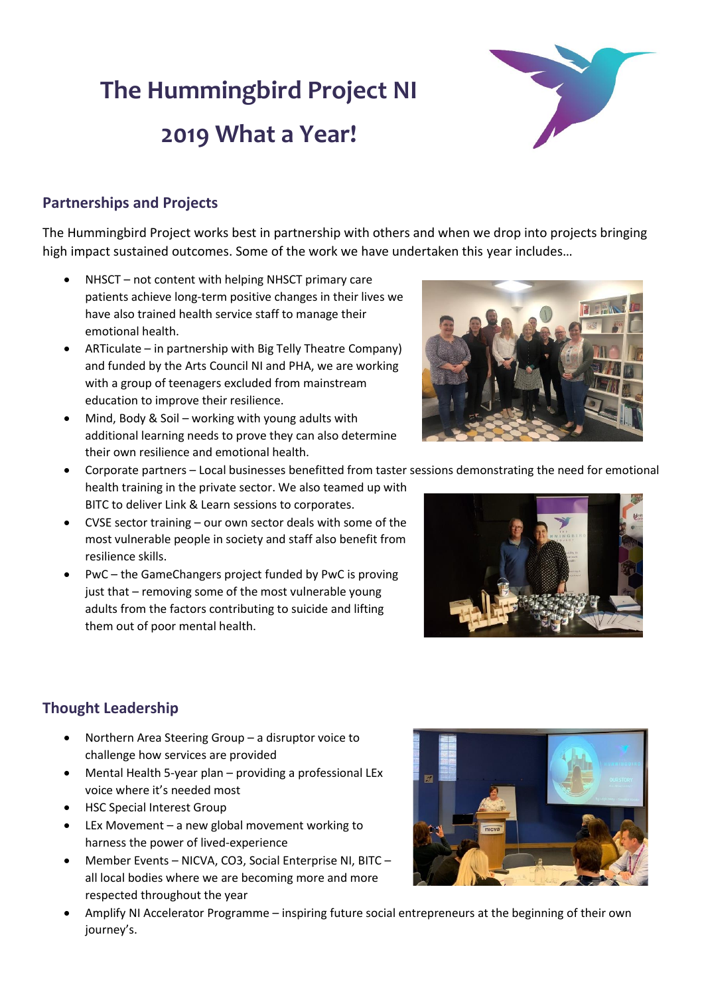# **The Hummingbird Project NI 2019 What a Year!**



#### **Partnerships and Projects**

The Hummingbird Project works best in partnership with others and when we drop into projects bringing high impact sustained outcomes. Some of the work we have undertaken this year includes…

- NHSCT not content with helping NHSCT primary care patients achieve long-term positive changes in their lives we have also trained health service staff to manage their emotional health.
- ARTiculate in partnership with Big Telly Theatre Company) and funded by the Arts Council NI and PHA, we are working with a group of teenagers excluded from mainstream education to improve their resilience.
- Mind, Body & Soil working with young adults with additional learning needs to prove they can also determine their own resilience and emotional health.



- Corporate partners Local businesses benefitted from taster sessions demonstrating the need for emotional health training in the private sector. We also teamed up with BITC to deliver Link & Learn sessions to corporates.
- CVSE sector training our own sector deals with some of the most vulnerable people in society and staff also benefit from resilience skills.
- PwC the GameChangers project funded by PwC is proving just that – removing some of the most vulnerable young adults from the factors contributing to suicide and lifting them out of poor mental health.



## **Thought Leadership**

- Northern Area Steering Group a disruptor voice to challenge how services are provided
- Mental Health 5-year plan providing a professional LEx voice where it's needed most
- HSC Special Interest Group
- LEx Movement a new global movement working to harness the power of lived-experience
- Member Events NICVA, CO3, Social Enterprise NI, BITC all local bodies where we are becoming more and more respected throughout the year



• Amplify NI Accelerator Programme – inspiring future social entrepreneurs at the beginning of their own journey's.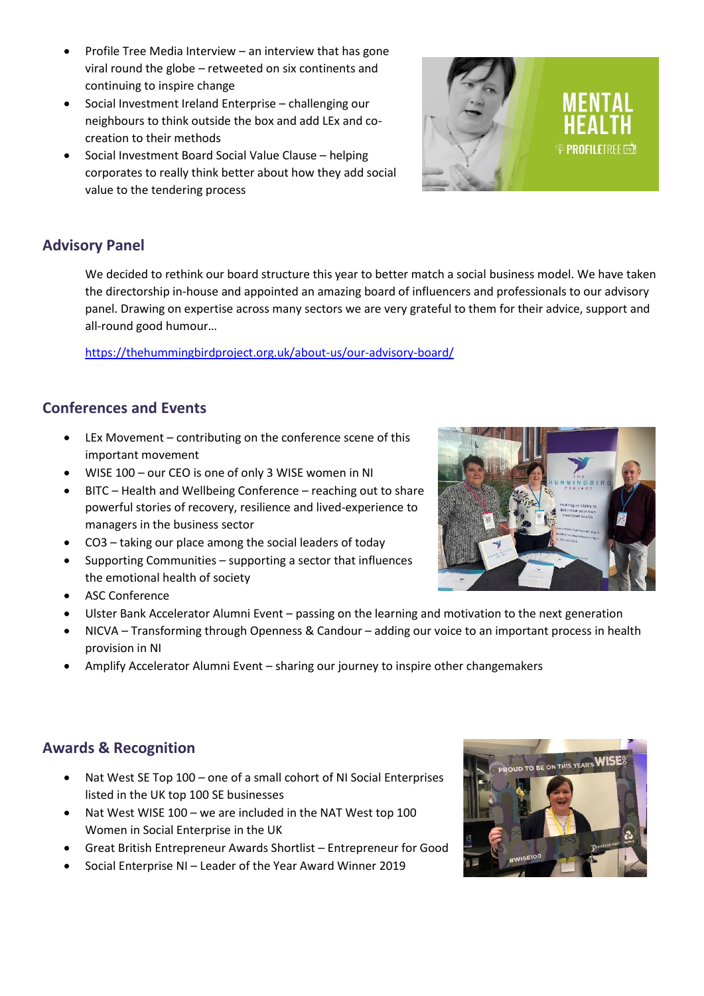- Profile Tree Media Interview an interview that has gone viral round the globe – retweeted on six continents and continuing to inspire change
- Social Investment Ireland Enterprise challenging our neighbours to think outside the box and add LEx and cocreation to their methods
- Social Investment Board Social Value Clause helping corporates to really think better about how they add social value to the tendering process

#### **Advisory Panel**

We decided to rethink our board structure this year to better match a social business model. We have taken the directorship in-house and appointed an amazing board of influencers and professionals to our advisory panel. Drawing on expertise across many sectors we are very grateful to them for their advice, support and all-round good humour…

<https://thehummingbirdproject.org.uk/about-us/our-advisory-board/>

#### **Conferences and Events**

- LEx Movement contributing on the conference scene of this important movement
- WISE 100 our CEO is one of only 3 WISE women in NI
- BITC Health and Wellbeing Conference reaching out to share powerful stories of recovery, resilience and lived-experience to managers in the business sector
- CO3 taking our place among the social leaders of today
- Supporting Communities supporting a sector that influences the emotional health of society
- ASC Conference
- Ulster Bank Accelerator Alumni Event passing on the learning and motivation to the next generation
- NICVA Transforming through Openness & Candour adding our voice to an important process in health provision in NI
- Amplify Accelerator Alumni Event sharing our journey to inspire other changemakers

#### **Awards & Recognition**

- Nat West SE Top 100 one of a small cohort of NI Social Enterprises listed in the UK top 100 SE businesses
- Nat West WISE 100 we are included in the NAT West top 100 Women in Social Enterprise in the UK
- Great British Entrepreneur Awards Shortlist Entrepreneur for Good
- Social Enterprise NI Leader of the Year Award Winner 2019